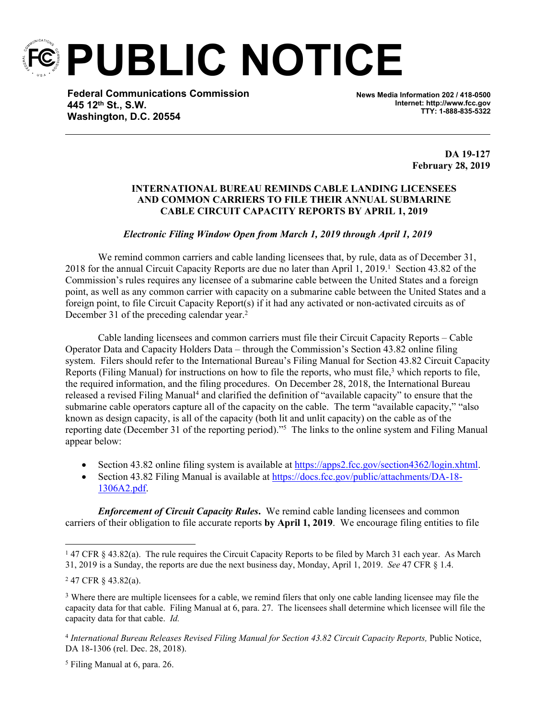

**PUBLIC NOTICE**

**Federal Communications Commission 445 12th St., S.W. Washington, D.C. 20554**

**News Media Information 202 / 418-0500 Internet: http://www.fcc.gov TTY: 1-888-835-5322**

> **DA 19-127 February 28, 2019**

## **INTERNATIONAL BUREAU REMINDS CABLE LANDING LICENSEES AND COMMON CARRIERS TO FILE THEIR ANNUAL SUBMARINE CABLE CIRCUIT CAPACITY REPORTS BY APRIL 1, 2019**

## *Electronic Filing Window Open from March 1, 2019 through April 1, 2019*

We remind common carriers and cable landing licensees that, by rule, data as of December 31, 2018 for the annual Circuit Capacity Reports are due no later than April 1, 2019.<sup>1</sup> Section 43.82 of the Commission's rules requires any licensee of a submarine cable between the United States and a foreign point, as well as any common carrier with capacity on a submarine cable between the United States and a foreign point, to file Circuit Capacity Report(s) if it had any activated or non-activated circuits as of December 31 of the preceding calendar year.<sup>2</sup>

Cable landing licensees and common carriers must file their Circuit Capacity Reports – Cable Operator Data and Capacity Holders Data – through the Commission's Section 43.82 online filing system. Filers should refer to the International Bureau's Filing Manual for Section 43.82 Circuit Capacity Reports (Filing Manual) for instructions on how to file the reports, who must file,<sup>3</sup> which reports to file, the required information, and the filing procedures. On December 28, 2018, the International Bureau released a revised Filing Manual<sup>4</sup> and clarified the definition of "available capacity" to ensure that the submarine cable operators capture all of the capacity on the cable. The term "available capacity," "also known as design capacity, is all of the capacity (both lit and unlit capacity) on the cable as of the reporting date (December 31 of the reporting period)."<sup>5</sup> The links to the online system and Filing Manual appear below:

- Section 43.82 online filing system is available at [https://apps2.fcc.gov/section4362/login.xhtml.](https://apps2.fcc.gov/section4362/login.xhtml)
- Section 43.82 Filing Manual is available at [https://docs.fcc.gov/public/attachments/DA-18-](https://docs.fcc.gov/public/attachments/DA-18-1306A2.pdf) [1306A2.pdf.](https://docs.fcc.gov/public/attachments/DA-18-1306A2.pdf)

*Enforcement of Circuit Capacity Rules*. We remind cable landing licensees and common carriers of their obligation to file accurate reports **by April 1, 2019**. We encourage filing entities to file

5 Filing Manual at 6, para. 26.

<sup>1</sup> 47 CFR § 43.82(a). The rule requires the Circuit Capacity Reports to be filed by March 31 each year. As March 31, 2019 is a Sunday, the reports are due the next business day, Monday, April 1, 2019. *See* 47 CFR § 1.4.

<sup>2</sup> 47 CFR § 43.82(a).

<sup>3</sup> Where there are multiple licensees for a cable, we remind filers that only one cable landing licensee may file the capacity data for that cable. Filing Manual at 6, para. 27. The licensees shall determine which licensee will file the capacity data for that cable. *Id.*

<sup>&</sup>lt;sup>4</sup> International Bureau Releases Revised Filing Manual for Section 43.82 Circuit Capacity Reports, Public Notice, DA 18-1306 (rel. Dec. 28, 2018).